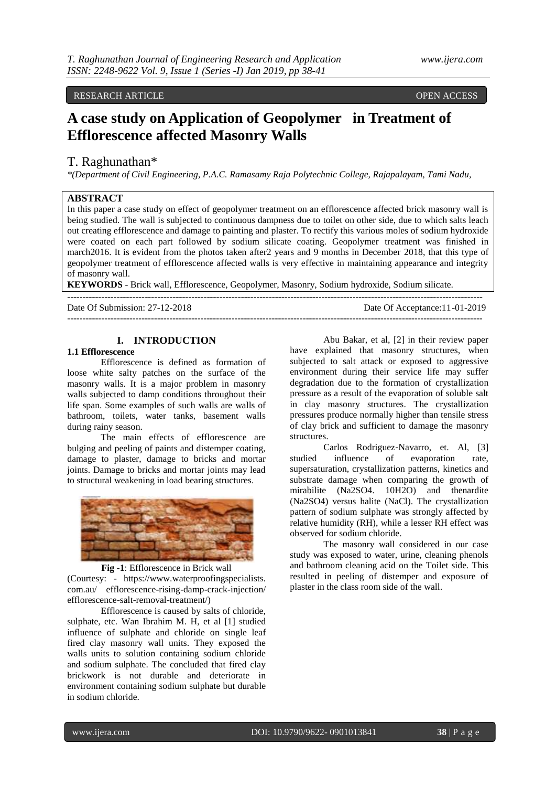# RESEARCH ARTICLE OPEN ACCESS

# **A case study on Application of Geopolymer in Treatment of Efflorescence affected Masonry Walls**

# T. Raghunathan\*

*\*(Department of Civil Engineering, P.A.C. Ramasamy Raja Polytechnic College, Rajapalayam, Tami Nadu,*

# **ABSTRACT**

In this paper a case study on effect of geopolymer treatment on an efflorescence affected brick masonry wall is being studied. The wall is subjected to continuous dampness due to toilet on other side, due to which salts leach out creating efflorescence and damage to painting and plaster. To rectify this various moles of sodium hydroxide were coated on each part followed by sodium silicate coating. Geopolymer treatment was finished in march2016. It is evident from the photos taken after2 years and 9 months in December 2018, that this type of geopolymer treatment of efflorescence affected walls is very effective in maintaining appearance and integrity of masonry wall.

**KEYWORDS** - Brick wall, Efflorescence, Geopolymer, Masonry, Sodium hydroxide, Sodium silicate.

| Date Of Submission: 27-12-2018 | Date Of Acceptance: 11-01-2019 |
|--------------------------------|--------------------------------|
|                                |                                |

# **I. INTRODUCTION**

# **1.1 Efflorescence**

Efflorescence is defined as formation of loose white salty patches on the surface of the masonry walls. It is a major problem in masonry walls subjected to damp conditions throughout their life span. Some examples of such walls are walls of bathroom, toilets, water tanks, basement walls during rainy season.

The main effects of efflorescence are bulging and peeling of paints and distemper coating, damage to plaster, damage to bricks and mortar joints. Damage to bricks and mortar joints may lead to structural weakening in load bearing structures.



#### **Fig -1**: Efflorescence in Brick wall

(Courtesy: - https://www.waterproofingspecialists. com.au/ efflorescence-rising-damp-crack-injection/ efflorescence-salt-removal-treatment/)

Efflorescence is caused by salts of chloride, sulphate, etc. Wan Ibrahim M. H, et al [1] studied influence of sulphate and chloride on single leaf fired clay masonry wall units. They exposed the walls units to solution containing sodium chloride and sodium sulphate. The concluded that fired clay brickwork is not durable and deteriorate in environment containing sodium sulphate but durable in sodium chloride.

Abu Bakar, et al, [2] in their review paper have explained that masonry structures, when subjected to salt attack or exposed to aggressive environment during their service life may suffer degradation due to the formation of crystallization pressure as a result of the evaporation of soluble salt in clay masonry structures. The crystallization pressures produce normally higher than tensile stress of clay brick and sufficient to damage the masonry structures.

Carlos Rodriguez‐Navarro, et. Al, [3] studied influence of evaporation rate, supersaturation, crystallization patterns, kinetics and substrate damage when comparing the growth of mirabilite (Na2SO4. 10H2O) and thenardite (Na2SO4) versus halite (NaCl). The crystallization pattern of sodium sulphate was strongly affected by relative humidity (RH), while a lesser RH effect was observed for sodium chloride.

The masonry wall considered in our case study was exposed to water, urine, cleaning phenols and bathroom cleaning acid on the Toilet side. This resulted in peeling of distemper and exposure of plaster in the class room side of the wall.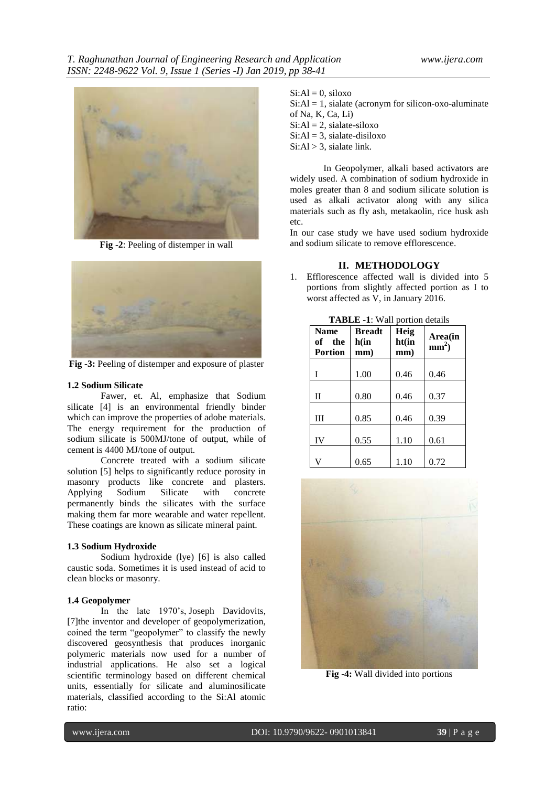

**Fig -2**: Peeling of distemper in wall



**Fig -3:** Peeling of distemper and exposure of plaster

#### **1.2 Sodium Silicate**

Fawer, et. Al, emphasize that Sodium silicate [4] is an environmental friendly binder which can improve the properties of adobe materials. The energy requirement for the production of sodium silicate is 500MJ/tone of output, while of cement is 4400 MJ/tone of output.

Concrete treated with a sodium silicate solution [5] helps to significantly reduce porosity in masonry products like concrete and plasters. Applying Sodium Silicate with concrete permanently binds the silicates with the surface making them far more wearable and water repellent. These coatings are known as silicate mineral paint.

#### **1.3 Sodium Hydroxide**

Sodium hydroxide (lye) [6] is also called caustic soda. Sometimes it is used instead of acid to clean blocks or masonry.

#### **1.4 Geopolymer**

In the late 1970's, [Joseph Davidovits,](http://www.davidovits.info/)  [7]the inventor and developer of geopolymerization, coined the term "geopolymer" to classify the newly discovered geosynthesis that produces inorganic polymeric materials now used for a number of industrial applications. He also set a logical scientific terminology based on different chemical units, essentially for silicate and aluminosilicate materials, classified according to the Si:Al atomic ratio:

### $Si:Al = 0$ , siloxo

 $Si:Al = 1$ , sialate (acronym for silicon-oxo-aluminate of Na, K, Ca, Li)  $Si:Al = 2$ , sialate-siloxo  $Si:Al = 3$ , sialate-disiloxo

 $Si: Al > 3$ , sialate link.

In Geopolymer, alkali based activators are widely used. A combination of sodium hydroxide in moles greater than 8 and sodium silicate solution is used as alkali activator along with any silica materials such as fly ash, metakaolin, rice husk ash etc.

In our case study we have used sodium hydroxide and sodium silicate to remove efflorescence.

#### **II. METHODOLOGY**

1. Efflorescence affected wall is divided into 5 portions from slightly affected portion as I to worst affected as V, in January 2016.

| <b>Name</b><br>of the<br><b>Portion</b> | <b>Breadt</b><br>h(in<br>mm) | Heig<br>ht(in<br>mm) | Area(in<br>$mm2$ ) |
|-----------------------------------------|------------------------------|----------------------|--------------------|
| T                                       | 1.00                         | 0.46                 | 0.46               |
| $\mathbf{I}$                            | 0.80                         | 0.46                 | 0.37               |
| Ш                                       | 0.85                         | 0.46                 | 0.39               |
| IV                                      | 0.55                         | 1.10                 | 0.61               |
| V                                       | 0.65                         | 1.10                 | 0.72               |
|                                         |                              |                      |                    |

**TABLE -1**: Wall portion details



**Fig -4:** Wall divided into portions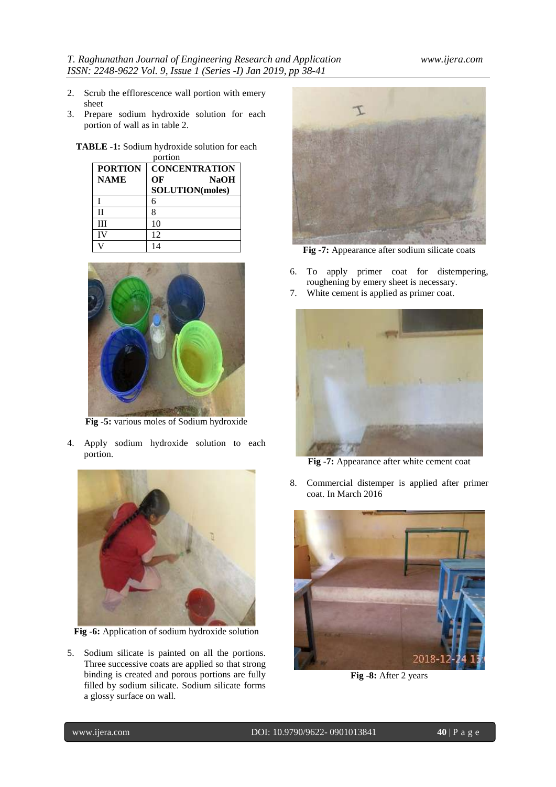- 2. Scrub the efflorescence wall portion with emery sheet
- 3. Prepare sodium hydroxide solution for each portion of wall as in table 2.
	- **TABLE -1:** Sodium hydroxide solution for each portion

| <b>PORTION</b> | <b>CONCENTRATION</b>   |  |
|----------------|------------------------|--|
| <b>NAME</b>    | ОF<br><b>NaOH</b>      |  |
|                | <b>SOLUTION(moles)</b> |  |
|                |                        |  |
| П              |                        |  |
| Ш              | 10                     |  |
| īV             | 12                     |  |
|                | 14                     |  |



**Fig -5:** various moles of Sodium hydroxide

4. Apply sodium hydroxide solution to each portion.



**Fig -6:** Application of sodium hydroxide solution

5. Sodium silicate is painted on all the portions. Three successive coats are applied so that strong binding is created and porous portions are fully filled by sodium silicate. Sodium silicate forms a glossy surface on wall.



**Fig -7:** Appearance after sodium silicate coats

- 6. To apply primer coat for distempering, roughening by emery sheet is necessary.
- 7. White cement is applied as primer coat.



**Fig -7:** Appearance after white cement coat

8. Commercial distemper is applied after primer coat. In March 2016



**Fig -8:** After 2 years